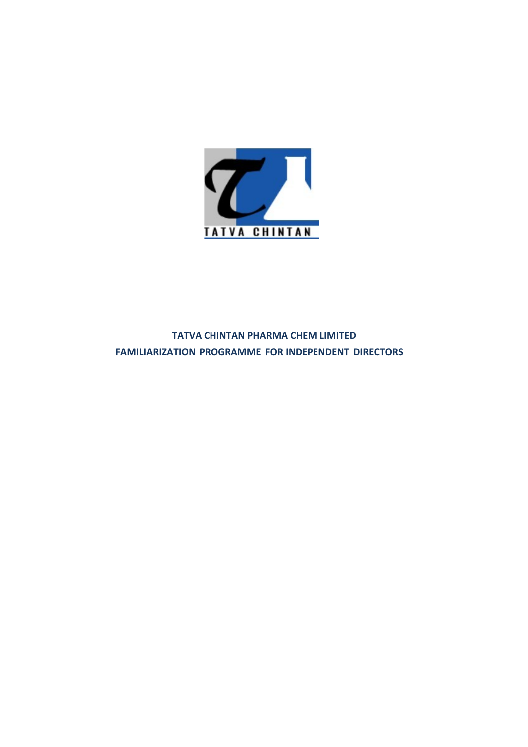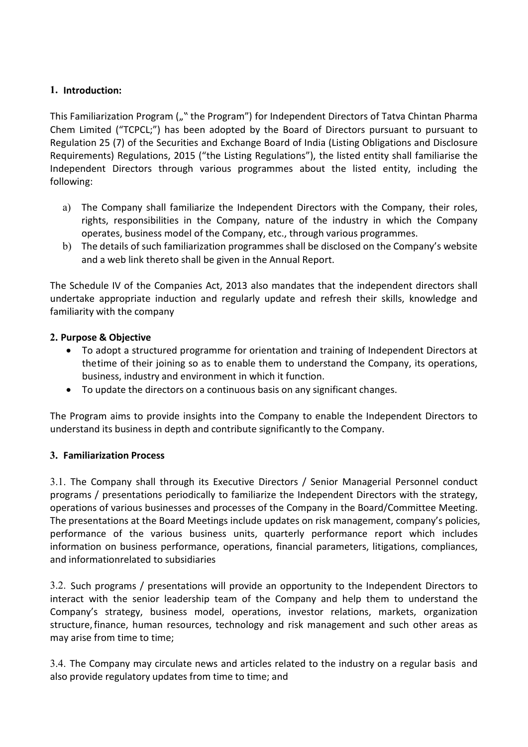# 1. Introduction:

**1. Introduction:**<br>This Familiarization Program ("" the Program") for Independent Directors of Tatva Chintan Pharma<br>Chem Limited ("TCPCL;") has been adopted by the Board of Directors pursuant to pursuant to<br>Regulation 25 ( **1. Introduction:**<br>This Familiarization Program ("" the Program") for Independent Directors of Tatva Chintan Pharma<br>Chem Limited ("TCPCL;") has been adopted by the Board of Directors pursuant to pursuant to<br>Regulation 25 ( **1. Introduction:**<br>This Familiarization Program ("" the Program") for Independent Directors of Tatva Chintan Pharma<br>Chem Limited ("TCPCL;") has been adopted by the Board of Directors pursuant to pursuant to<br>Regulation 25 ( **1. Introduction:**<br>This Familiarization Program (""the Program") for Independent Directors of Tatva Chintan Pharma<br>Chem Limited ("TCPCL;") has been adopted by the Board of Directors pursuant to pursuant to<br>Regulations 25 ( **I. Introduction:**<br>
This Familiarization Program (""the Program") for Independent Directors of Tatva Chintan Pharma<br>
Chem Limited ("TCPCL")") has been adopted by the Board of Directors pursuant to pursuant to<br>
Regulation 2 following: **Introduction:**<br>
as Familiarization Program ("" the Program") for Independent Directors of Tatva Chintan Pharma<br>
em Limited ("TCPCL") has been adopted by the Board of Directors pursuant to pursuant to<br>
gulation 25 (7) of t **oduction:**<br>miliarization Program ("" the Program") for Independent Directors of Tatva Chintan Pharma<br>imited ("TCPCL;") has been adopted by the Board of Directors pursuant to pursuant to<br>ion 25 (7) of the Securities and Ex **oduction:**<br> **Comparison Program (**," the Program") for Independent Directors of Tatva Chintan Pharma<br>
Limited ("TCPCL",") has been adopted by the Board of Directors pursuant to pursuant to<br>
tion 25 (7) of the Securities a Introduction:<br>
Introduction: Program ("" the Program") for Independent Directors of Tatva Chintan Pharma<br>
em Limited ("TCPCL;") has been adopted by the Board of Directors pursuant to pursuant to<br>
guidition 25 (7) of the Sc miliarization Program ("" the Program") for independent Directors of Tatva Chintan Pharma<br>imited ("TCPCL;") has been adopted by the Board of Directors pursuant to pursuant to<br>ion 25 (7) of the Securities and Exchange Board **1.** Introduction:<br>
This Familiarization Program ("" the Program") for Independent Directors of Tatva Chintan Pharma<br>
Chem Limited ("TCPCL;") has been adopted by the Board of Directors pursuant to pursuant to<br>
Requirement 1. Introduction:<br>
1. Introduction:<br>
This Familiarization Program ("" the Program") for Independent Directors of Tatva Chintan Pharma<br>
Chem Limited ("TCPCL;") has been adopted by the Board of Directors pursuant to pursuant **1. Introduction:**<br> **1. Introduction:**<br>
This Familiarization Program ("" the Program") for Independent Directors of Tatva Chir<br>
Chem Limited ("TCPCL;") has been adopted by the Board of Directors pursuant to<br>
Requirements) This Familiarization Program ("" the Program") tor Independent Directors of Tatumultined ("TCPCL;") has been adopted by the Board of Directors pursual Regulation 25 (7) of the Securities and Exchange Board of India (Listi m Limited ("TCPCL")") has been adopted by the Board of Directors pursuant to pursuant to any the team of Directors to the structure interest. Propriations, 2015 ("the Listing Regulations"), the listed entity shall familiar ion 25 (7) of the Securities and Exchange Board britain (Listing Obligations and Disclosure<br>
inenerts) Regulations, 2015 ("the Listing Regulations"), the listed entity shall familiarise the<br>
age:<br>
The Company shall familia

- uitements) Regulations, 2015 ("the Listing Regulations"), the listed entity shall familiarise the<br>pependent Directors through various programmes about the listed entity, including the<br>pwing:<br>(1) The Company shall familiari
- 

a) The Company shall familiarize the Independent Directors with the Company, their roles, rights, responsibilities in the Company, nature of the industry in which the Company operates, buines in the Annual, etc., through v a) Ine Company shall tranularize the Independent Directors with the Company, their roles,<br>
rights, responsibilities in the Company, nature of the industry in which the Company<br>
operates, business model of the Company, etc.

- 
- 

operates, business model or the Company, etc., through various programmes.<br>
b) The details of such familiarization programmes shall be disclosed on the Compa<br>
and a web link thereto shall be given in the Annual Report.<br>
Th and a web link thereto shall be given in the Anhual Keport.<br>
The Schedule IV of the Companies Act, 2013 also mandates that the independent directors shall<br>
dimilitarity with the company<br> **2. Purpose & Objective**<br> **2. Purpo** The Schedule IV of the Companies Act, 2013 also mandates that the independent directors shall<br>undertake appropriate induction and regularly update and refresh their skills, knowledge and<br>familiarity with the company<br>2. **Pu** Ine Scheeller is the Companies Act, 2013 also mandates that the independent directors shall<br>
undertake appropriate induction and regularly update and refresh their skills, knowledge and<br>
familiarity with the company<br>
2. **P** undertaxe approprate induction and regularly update and rerresh their skills, knowledge and<br>
2. Purpose & Objective<br>
• To adopt a structured programme for orientation and training of Independent Directors at<br>
• To adopt a The present of the company<br>
2. Purpose & Objective<br>
• To adopt a structured programme for orientation and training of Independent Directors at<br>
the the of their joining so as to enable them to understand the Company, its o **2. Purpose & Objective •** To adopt a structured programme for orientation and training of Independent Directors at the time of their joining so as to enable them to understand the Company, its operations, business, indu **Examples Conjective**<br>
• To adopt a structured programme for orientation and training of Independent Direct<br>
• To adopt a structured programme for orientation and training of Independent Direct<br>
thetime of their joining so The proton is the proformation of the compary of the matter and the the matter and the compary, its operations,<br>
business, industry and environment in which it function.<br>
The Program aims to provide insights into the Compa <sup>1</sup> **Example 10 Examplement in wincent in unit in the company to enable the Independent Directors to**<br> **The Program aims to provide insights into the Company to enable the Independent Directors to**<br> **Independent distusin** • To update the directors on a continuous basis on any significant changes.<br>
The Program aims to provide insights into the Company to enable the Independent Directors to<br>
anderstand its business in depth and contribute sig The Program aims to provide insights into the Company to enable the Independent Directors to<br>understand its business in depth and contribute significantly to the Company.<br>
3. Familiarization Process<br>
3. The Company shall t The Program aims to provide insights into the Company to enable the Independent Directle understand its business in depth and contribute significantly to the Company.<br>
3. Familiarization Process<br>
3.1. The Company shall thr 3. Familiarization Process<br>3.1. The Company shall through its Executive Directors / Senior Managerial Personnel conduct<br>programs / presentations periodically to familiarize the Independent Directors with the strategy,<br>oper 3. I. The Company shall through its Executive Directors / Senior Managerial Personnel conduct<br>20. The Company shall through its Executive Directors / Senior Managerial Personnel conduct<br>programs / presentations periodicall